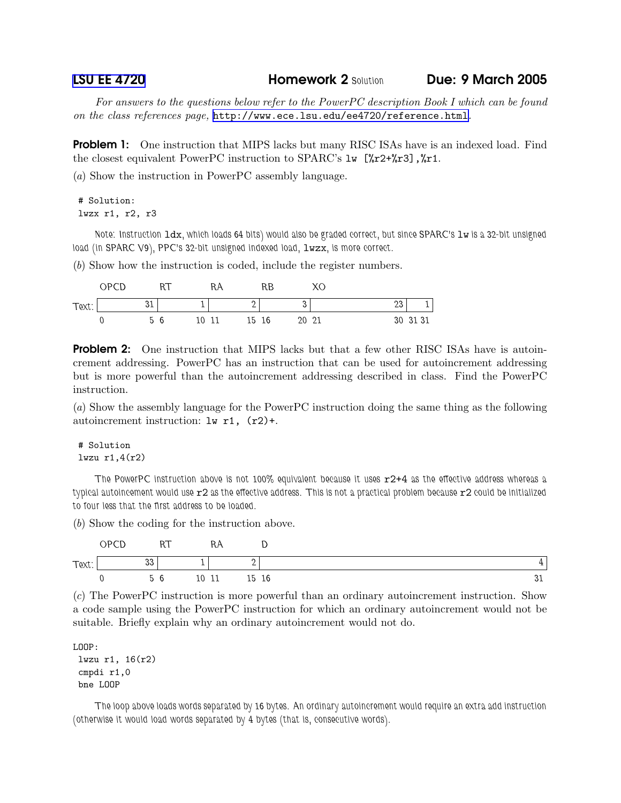LSU EE [4720](http://www.ece.lsu.edu/ee4720/) Homework 2 Solution Due: 9 March 2005

For answers to the questions below refer to the PowerPC description Book I which can be found on the class references page, <http://www.ece.lsu.edu/ee4720/reference.html>.

**Problem 1:** One instruction that MIPS lacks but many RISC ISAs have is an indexed load. Find the closest equivalent PowerPC instruction to SPARC's  $1w$  [ $\pi$ 2+ $\pi$ 3],  $\pi$ 1.

(a) Show the instruction in PowerPC assembly language.

## # Solution: lwzx r1, r2, r3

Note: Instruction ldx, which loads 64 bits) would also be graded correct, but since SPARC's lw is a 32-bit unsigned load (in SPARC V9), PPC's 32-bit unsigned indexed load,  $1wzx$ , is more correct.

(b) Show how the instruction is coded, include the register numbers.

|       | OPCD |              |   |    | RA          | RB |       |    |          |
|-------|------|--------------|---|----|-------------|----|-------|----|----------|
| Text: |      | $\sim$<br>ບ⊥ |   |    | ∽           |    |       | ∠ບ |          |
|       |      | h            | 6 | 10 | 15 16<br>11 |    | 20 21 |    | 30 31 31 |

**Problem 2:** One instruction that MIPS lacks but that a few other RISC ISAs have is autoincrement addressing. PowerPC has an instruction that can be used for autoincrement addressing but is more powerful than the autoincrement addressing described in class. Find the PowerPC instruction.

(a) Show the assembly language for the PowerPC instruction doing the same thing as the following autoincrement instruction:  $\text{lw } r1$ ,  $(r2)+$ .

## # Solution lwzu r1,4(r2)

The PowerPC instruction above is not 100% equivalent because it uses  $r2+4$  as the effective address whereas a typical autoincement would use r2 as the effective address. This is not a practical problem because r2 could be initialized to four less that the first address to be loaded.

(b) Show the coding for the instruction above.

|       | OPCD | nт<br>1 U I |    | N        | ◡  |    |
|-------|------|-------------|----|----------|----|----|
| Text: |      | າາ<br>ບບ    |    | ∽        |    | ▵  |
|       |      | 56          | 10 | 15<br>TT | 16 | ບ⊥ |

(c) The PowerPC instruction is more powerful than an ordinary autoincrement instruction. Show a code sample using the PowerPC instruction for which an ordinary autoincrement would not be suitable. Briefly explain why an ordinary autoincrement would not do.

LOOP: lwzu r1, 16(r2) cmpdi r1,0 bne LOOP

The loop above loads words separated by 16 bytes. An ordinary autoincrement would require an extra add instruction (otherwise it would load words separated by 4 bytes (that is, consecutive words).